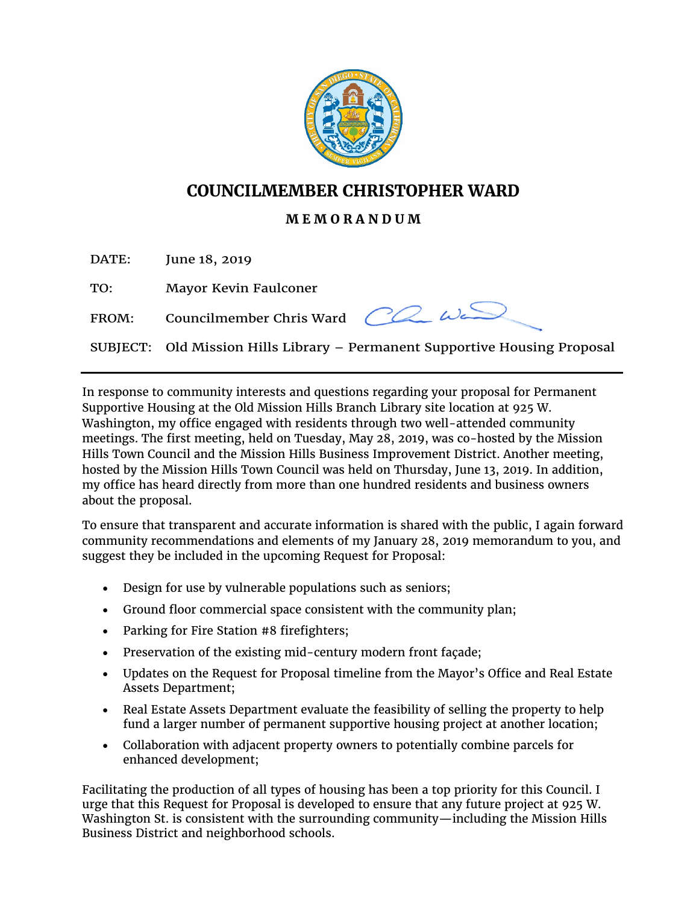

## **COUNCILMEMBER CHRISTOPHER WARD**

## **M E M O R A N D U M**

DATE: June 18, 2019

TO: Mayor Kevin Faulconer

FROM: Councilmember Chris Ward



SUBJECT: Old Mission Hills Library – Permanent Supportive Housing Proposal

In response to community interests and questions regarding your proposal for Permanent Supportive Housing at the Old Mission Hills Branch Library site location at 925 W. Washington, my office engaged with residents through two well-attended community meetings. The first meeting, held on Tuesday, May 28, 2019, was co-hosted by the Mission Hills Town Council and the Mission Hills Business Improvement District. Another meeting, hosted by the Mission Hills Town Council was held on Thursday, June 13, 2019. In addition, my office has heard directly from more than one hundred residents and business owners about the proposal.

To ensure that transparent and accurate information is shared with the public, I again forward community recommendations and elements of my January 28, 2019 memorandum to you, and suggest they be included in the upcoming Request for Proposal:

- Design for use by vulnerable populations such as seniors;
- Ground floor commercial space consistent with the community plan;
- Parking for Fire Station #8 firefighters;
- Preservation of the existing mid-century modern front façade;
- Updates on the Request for Proposal timeline from the Mayor's Office and Real Estate Assets Department;
- Real Estate Assets Department evaluate the feasibility of selling the property to help fund a larger number of permanent supportive housing project at another location;
- Collaboration with adjacent property owners to potentially combine parcels for enhanced development;

Facilitating the production of all types of housing has been a top priority for this Council. I urge that this Request for Proposal is developed to ensure that any future project at 925 W. Washington St. is consistent with the surrounding community—including the Mission Hills Business District and neighborhood schools.